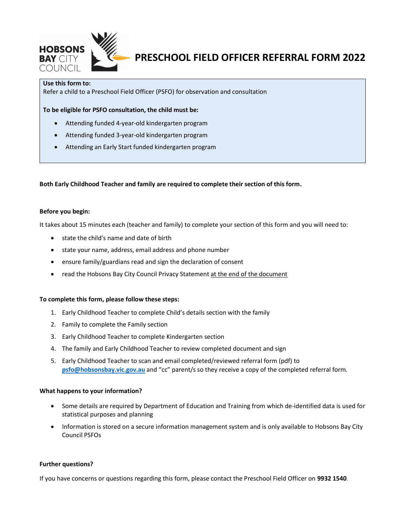

# PRESCHOOL FIELD OFFICER REFERRAL FORM 2022

## Use this form to:

Refer a child to a Preschool Field Officer (PSFO) for observation and consultation

To be eligible for PSFO consultation, the child must be:

- Attending funded 4-year-old kindergarten program
- Attending funded 3-year-old kindergarten program
- Attending an Early Start funded kindergarten program

Both Early Childhood Teacher and family are required to complete their section of this form.

### Before you begin:

It takes about 15 minutes each (teacher and family) to complete your section of this form and you will need to:

- state the child's name and date of birth
- state your name, address, email address and phone number
- ensure family/guardians read and sign the declaration of consent
- read the Hobsons Bay City Council Privacy Statement at the end of the document

#### To complete this form, please follow these steps:

- 1. Early Childhood Teacher to complete Child's details section with the family
- 2. Family to complete the Family section
- 3. Early Childhood Teacher to complete Kindergarten section
- 4. The family and Early Childhood Teacher to review completed document and sign
- 5. Early Childhood Teacher to scan and email completed/reviewed referral form (pdf) to psfo@hobsonsbay.vic.gov.au and "cc" parent/s so they receive a copy of the completed referral form.

#### What happens to your information?

- Some details are required by Department of Education and Training from which de-identified data is used for statistical purposes and planning
- Information is stored on a secure information management system and is only available to Hobsons Bay City Council PSFOs

#### Further questions?

If you have concerns or questions regarding this form, please contact the Preschool Field Officer on 9932 1540.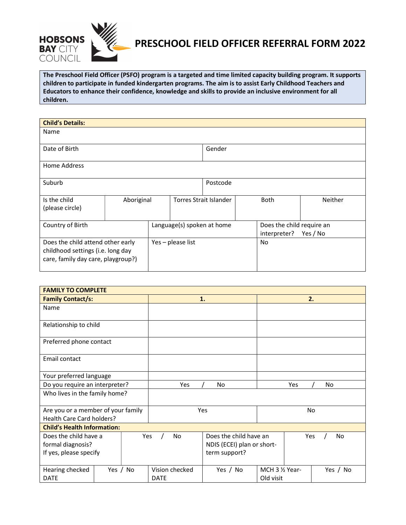

## PRESCHOOL FIELD OFFICER REFERRAL FORM 2022

The Preschool Field Officer (PSFO) program is a targeted and time limited capacity building program. It supports children to participate in funded kindergarten programs. The aim is to assist Early Childhood Teachers and Educators to enhance their confidence, knowledge and skills to provide an inclusive environment for all children.

| <b>Child's Details:</b>                                                                                      |            |                            |                               |                                           |                |
|--------------------------------------------------------------------------------------------------------------|------------|----------------------------|-------------------------------|-------------------------------------------|----------------|
| Name                                                                                                         |            |                            |                               |                                           |                |
| Date of Birth                                                                                                |            |                            | Gender                        |                                           |                |
| Home Address                                                                                                 |            |                            |                               |                                           |                |
| Suburb                                                                                                       |            |                            | Postcode                      |                                           |                |
| Is the child<br>(please circle)                                                                              | Aboriginal |                            | <b>Torres Strait Islander</b> | <b>Both</b>                               | <b>Neither</b> |
| Country of Birth                                                                                             |            | Language(s) spoken at home |                               | Does the child require an<br>interpreter? | Yes / No       |
| Does the child attend other early<br>childhood settings (i.e. long day<br>care, family day care, playgroup?) |            | Yes - please list          |                               | No                                        |                |

| <b>FAMILY TO COMPLETE</b>                                            |          |     |                               |                                                                       |                              |           |
|----------------------------------------------------------------------|----------|-----|-------------------------------|-----------------------------------------------------------------------|------------------------------|-----------|
| <b>Family Contact/s:</b>                                             |          |     |                               | 1.                                                                    |                              | 2.        |
| Name                                                                 |          |     |                               |                                                                       |                              |           |
| Relationship to child                                                |          |     |                               |                                                                       |                              |           |
| Preferred phone contact                                              |          |     |                               |                                                                       |                              |           |
| Email contact                                                        |          |     |                               |                                                                       |                              |           |
| Your preferred language                                              |          |     |                               |                                                                       |                              |           |
| Do you require an interpreter?                                       |          |     | Yes                           | No                                                                    | Yes                          | No        |
| Who lives in the family home?                                        |          |     |                               |                                                                       |                              |           |
| Are you or a member of your family<br>Health Care Card holders?      |          |     | Yes                           |                                                                       | No                           |           |
| <b>Child's Health Information:</b>                                   |          |     |                               |                                                                       |                              |           |
| Does the child have a<br>formal diagnosis?<br>If yes, please specify |          | Yes | <b>No</b>                     | Does the child have an<br>NDIS (ECEI) plan or short-<br>term support? |                              | Yes<br>No |
| Hearing checked<br><b>DATE</b>                                       | Yes / No |     | Vision checked<br><b>DATE</b> | Yes / No                                                              | MCH 3 1/2 Year-<br>Old visit | Yes / No  |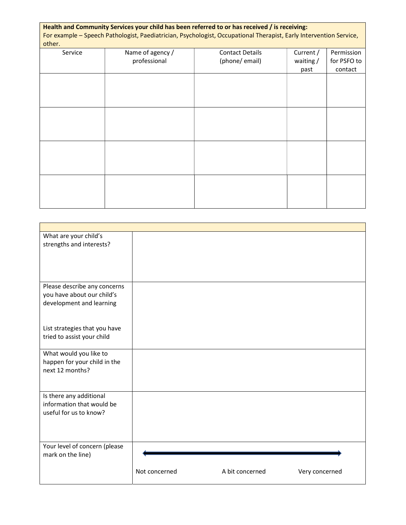| other.  |                                  | Health and Community Services your child has been referred to or has received / is receiving:<br>For example - Speech Pathologist, Paediatrician, Psychologist, Occupational Therapist, Early Intervention Service, |                       |                           |
|---------|----------------------------------|---------------------------------------------------------------------------------------------------------------------------------------------------------------------------------------------------------------------|-----------------------|---------------------------|
| Service | Name of agency /<br>professional | <b>Contact Details</b><br>(phone/email)                                                                                                                                                                             | Current /<br>waiting/ | Permission<br>for PSFO to |
|         |                                  |                                                                                                                                                                                                                     | past                  | contact                   |
|         |                                  |                                                                                                                                                                                                                     |                       |                           |
|         |                                  |                                                                                                                                                                                                                     |                       |                           |
|         |                                  |                                                                                                                                                                                                                     |                       |                           |
|         |                                  |                                                                                                                                                                                                                     |                       |                           |
|         |                                  |                                                                                                                                                                                                                     |                       |                           |
|         |                                  |                                                                                                                                                                                                                     |                       |                           |
|         |                                  |                                                                                                                                                                                                                     |                       |                           |
|         |                                  |                                                                                                                                                                                                                     |                       |                           |
|         |                                  |                                                                                                                                                                                                                     |                       |                           |
|         |                                  |                                                                                                                                                                                                                     |                       |                           |
|         |                                  |                                                                                                                                                                                                                     |                       |                           |
|         |                                  |                                                                                                                                                                                                                     |                       |                           |

| What are your child's         |               |                 |                |
|-------------------------------|---------------|-----------------|----------------|
| strengths and interests?      |               |                 |                |
|                               |               |                 |                |
|                               |               |                 |                |
|                               |               |                 |                |
|                               |               |                 |                |
| Please describe any concerns  |               |                 |                |
| you have about our child's    |               |                 |                |
| development and learning      |               |                 |                |
|                               |               |                 |                |
|                               |               |                 |                |
| List strategies that you have |               |                 |                |
| tried to assist your child    |               |                 |                |
|                               |               |                 |                |
| What would you like to        |               |                 |                |
| happen for your child in the  |               |                 |                |
| next 12 months?               |               |                 |                |
|                               |               |                 |                |
|                               |               |                 |                |
| Is there any additional       |               |                 |                |
| information that would be     |               |                 |                |
| useful for us to know?        |               |                 |                |
|                               |               |                 |                |
|                               |               |                 |                |
|                               |               |                 |                |
| Your level of concern (please |               |                 |                |
| mark on the line)             |               |                 |                |
|                               |               |                 |                |
|                               | Not concerned | A bit concerned | Very concerned |
|                               |               |                 |                |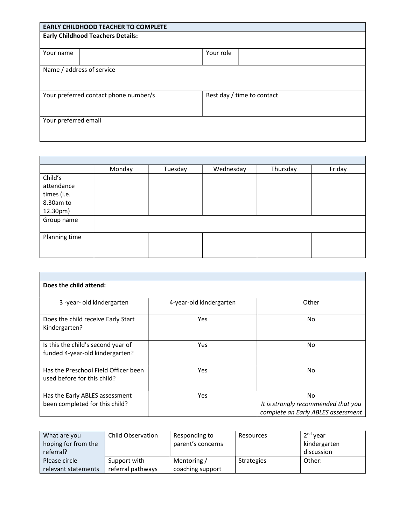| <b>EARLY CHILDHOOD TEACHER TO COMPLETE</b>                          |           |  |  |
|---------------------------------------------------------------------|-----------|--|--|
| <b>Early Childhood Teachers Details:</b>                            |           |  |  |
|                                                                     |           |  |  |
| Your name                                                           | Your role |  |  |
|                                                                     |           |  |  |
| Name / address of service                                           |           |  |  |
|                                                                     |           |  |  |
|                                                                     |           |  |  |
| Your preferred contact phone number/s<br>Best day / time to contact |           |  |  |
|                                                                     |           |  |  |
|                                                                     |           |  |  |
| Your preferred email                                                |           |  |  |
|                                                                     |           |  |  |
|                                                                     |           |  |  |

|               | Monday | Tuesday | Wednesday | Thursday | Friday |
|---------------|--------|---------|-----------|----------|--------|
| Child's       |        |         |           |          |        |
| attendance    |        |         |           |          |        |
| times (i.e.   |        |         |           |          |        |
| 8.30am to     |        |         |           |          |        |
| 12.30pm)      |        |         |           |          |        |
| Group name    |        |         |           |          |        |
|               |        |         |           |          |        |
| Planning time |        |         |           |          |        |
|               |        |         |           |          |        |
|               |        |         |           |          |        |

 $\overline{\phantom{a}}$ 

| Does the child attend:               |                         |                                     |
|--------------------------------------|-------------------------|-------------------------------------|
|                                      |                         |                                     |
| 3-year-old kindergarten              | 4-year-old kindergarten | Other                               |
| Does the child receive Early Start   | Yes                     | No.                                 |
| Kindergarten?                        |                         |                                     |
| Is this the child's second year of   | Yes                     | No                                  |
| funded 4-year-old kindergarten?      |                         |                                     |
| Has the Preschool Field Officer been | Yes                     | No                                  |
| used before for this child?          |                         |                                     |
| Has the Early ABLES assessment       | Yes                     | No                                  |
| been completed for this child?       |                         | It is strongly recommended that you |
|                                      |                         | complete an Early ABLES assessment  |

| What are you        | Child Observation | Responding to     | Resources         | $2nd$ year   |
|---------------------|-------------------|-------------------|-------------------|--------------|
| hoping for from the |                   | parent's concerns |                   | kindergarten |
| referral?           |                   |                   |                   | discussion   |
| Please circle       | Support with      | Mentoring /       | <b>Strategies</b> | Other:       |
| relevant statements | referral pathways | coaching support  |                   |              |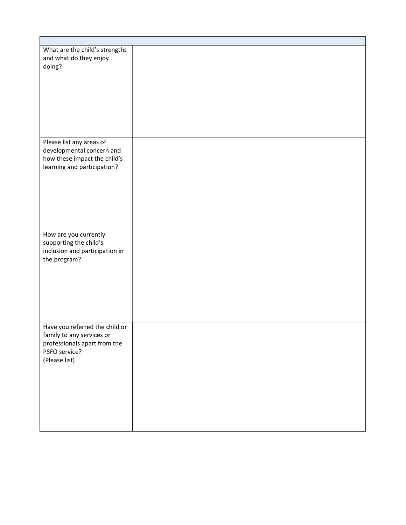| What are the child's strengths<br>and what do they enjoy<br>doing?                                                            |  |
|-------------------------------------------------------------------------------------------------------------------------------|--|
| Please list any areas of                                                                                                      |  |
| developmental concern and<br>how these impact the child's<br>learning and participation?                                      |  |
|                                                                                                                               |  |
| How are you currently<br>supporting the child's<br>inclusion and participation in<br>the program?                             |  |
| Have you referred the child or<br>family to any services or<br>professionals apart from the<br>PSFO service?<br>(Please list) |  |